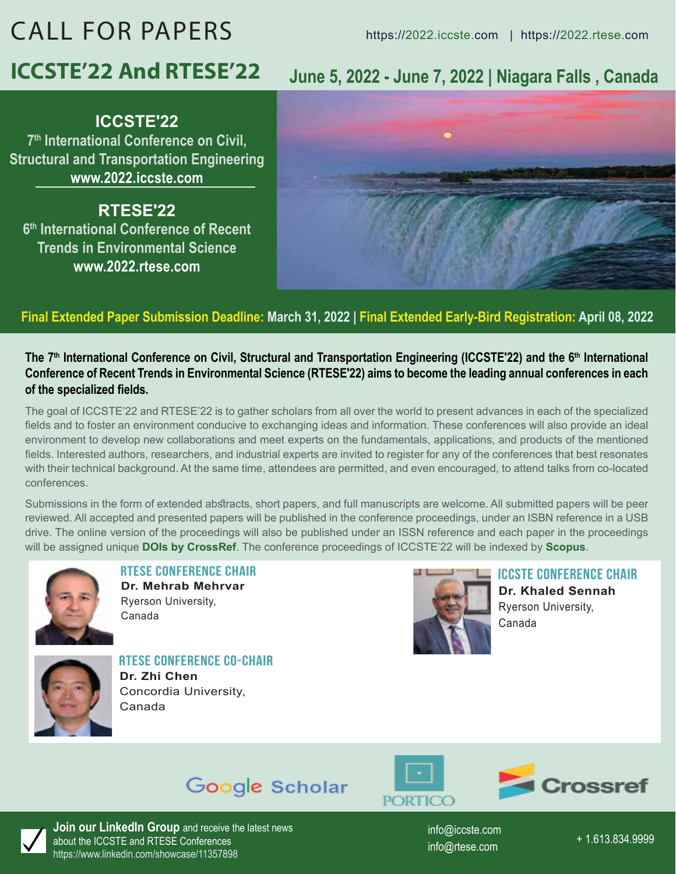# CALL FOR PAPERS https://2022.iccste.com | https://2022.rtese.com

# **ICCSTE'22 And RTESE'22**

## **June 5, 2022 - June 7, 2022 | Niagara Falls , Canada**

**ICCSTE'22 7th International Conference on Civil, Structural and Transportation Engineering www.2022.iccste.com**

**RTESE'22 6th International Conference of Recent Trends in Environmental Science www.2022.rtese.com**



#### **Final Extended Paper Submission Deadline: March 31, 2022 | Final Extended Early-Bird Registration: April 08, 2022**

#### The 7<sup>th</sup> International Conference on Civil, Structural and Transportation Engineering (ICCSTE'22) and the 6<sup>th</sup> International **Conference of Recent Trends in Environmental Science (RTESE'22) aims to become the leading annual conferences in each of the specialized fields.**

The goal of ICCSTE'22 and RTESE'22 is to gather scholars from all over the world to present advances in each of the specialized fields and to foster an environment conducive to exchanging ideas and information. These conferences will also provide an ideal environment to develop new collaborations and meet experts on the fundamentals, applications, and products of the mentioned fields. Interested authors, researchers, and industrial experts are invited to register for any of the conferences that best resonates with their technical background. At the same time, attendees are permitted, and even encouraged, to attend talks from co-located conferences.

Submissions in the form of extended abstracts, short papers, and full manuscripts are welcome. All submitted papers will be peer reviewed. All accepted and presented papers will be published in the conference proceedings, under an ISBN reference in a USB drive. The online version of the proceedings will also be published under an ISSN reference and each paper in the proceedings will be assigned unique **DOIs by CrossRef**. The conference proceedings of ICCSTE'22 will be indexed by **Scopus**.



**RTESE Conference Chair Dr. Mehrab Mehrvar** Ryerson University, Canada



**ICCSTE Conference Chair Dr. Khaled Sennah** Ryerson University, Canada



**RTESE Conference Co-Chair Dr. Zhi Chen** Concordia University, Canada

# Google Scholar







**Join our LinkedIn Group** and receive the latest news about the ICCSTE and RTESE Conferences https://www.linkedin.com/showcase/11357898

+ 1.613.834.9999 info@iccste.com info@rtese.com